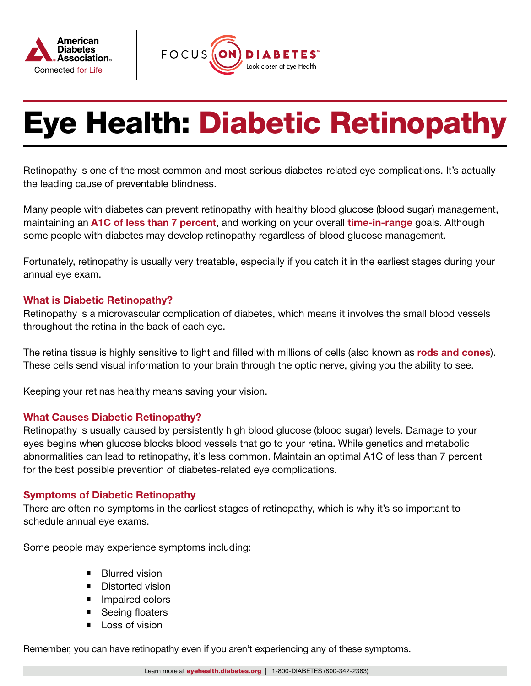



# Eye Health: Diabetic Retinopathy

Retinopathy is one of the most common and most serious diabetes-related eye complications. It's actually the leading cause of preventable blindness.

Many people with diabetes can prevent retinopathy with healthy blood glucose (blood sugar) management, maintaining an [A1C of less than 7 percent](https://www.diabetes.org/diabetes/a1c), and working on your overall [time-in-range](https://www.diabetes.org/tools-support/devices-technology/cgm-time-in-range) goals. Although some people with diabetes may develop retinopathy regardless of blood glucose management.

Fortunately, retinopathy is usually very treatable, especially if you catch it in the earliest stages during your annual eye exam.

# What is Diabetic Retinopathy?

Retinopathy is a microvascular complication of diabetes, which means it involves the small blood vessels throughout the retina in the back of each eye.

The retina tissue is highly sensitive to light and filled with millions of cells (also known as [rods and cones](https://www.nei.nih.gov/learn-about-eye-health/eye-conditions-and-diseases/diabetic-retinopathy)). These cells send visual information to your brain through the optic nerve, giving you the ability to see.

Keeping your retinas healthy means saving your vision.

# What Causes Diabetic Retinopathy?

Retinopathy is usually caused by persistently high blood glucose (blood sugar) levels. Damage to your eyes begins when glucose blocks blood vessels that go to your retina. While genetics and metabolic abnormalities can lead to retinopathy, it's less common. Maintain an optimal A1C of less than 7 percent for the best possible prevention of diabetes-related eye complications.

# Symptoms of Diabetic Retinopathy

There are often no symptoms in the earliest stages of retinopathy, which is why it's so important to schedule annual eye exams.

Some people may experience symptoms including:

- **Blurred vision**
- **Distorted vision**
- **Impaired colors**
- Seeing floaters
- Loss of vision

Remember, you can have retinopathy even if you aren't experiencing any of these symptoms.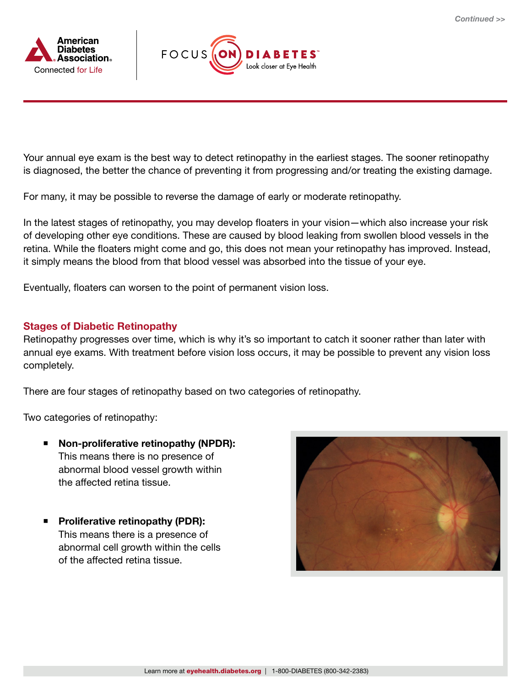



Your annual eye exam is the best way to detect retinopathy in the earliest stages. The sooner retinopathy is diagnosed, the better the chance of preventing it from progressing and/or treating the existing damage.

For many, it may be possible to reverse the damage of early or moderate retinopathy.

In the latest stages of retinopathy, you may develop floaters in your vision—which also increase your risk of developing other eye conditions. These are caused by blood leaking from swollen blood vessels in the retina. While the floaters might come and go, this does not mean your retinopathy has improved. Instead, it simply means the blood from that blood vessel was absorbed into the tissue of your eye.

Eventually, floaters can worsen to the point of permanent vision loss.

# Stages of Diabetic Retinopathy

Retinopathy progresses over time, which is why it's so important to catch it sooner rather than later with annual eye exams. With treatment before vision loss occurs, it may be possible to prevent any vision loss completely.

There are four stages of retinopathy based on two categories of retinopathy.

Two categories of retinopathy:

- Non-proliferative retinopathy (NPDR): This means there is no presence of abnormal blood vessel growth within the affected retina tissue.
- **Proliferative retinopathy (PDR):** This means there is a presence of abnormal cell growth within the cells of the affected retina tissue.

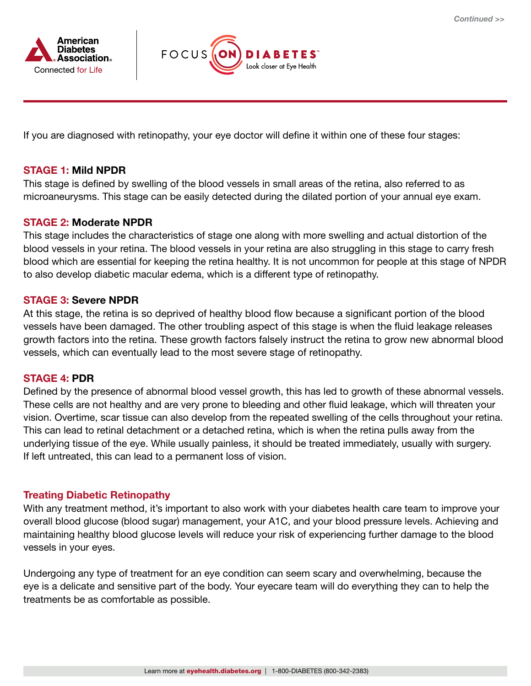



If you are diagnosed with retinopathy, your eye doctor will define it within one of these four stages:

# STAGE 1: Mild NPDR

This stage is defined by swelling of the blood vessels in small areas of the retina, also referred to as microaneurysms. This stage can be easily detected during the dilated portion of your annual eye exam.

#### STAGE 2: Moderate NPDR

This stage includes the characteristics of stage one along with more swelling and actual distortion of the blood vessels in your retina. The blood vessels in your retina are also struggling in this stage to carry fresh blood which are essential for keeping the retina healthy. It is not uncommon for people at this stage of NPDR to also develop diabetic macular edema, which is a different type of retinopathy.

#### STAGE 3: Severe NPDR

At this stage, the retina is so deprived of healthy blood flow because a significant portion of the blood vessels have been damaged. The other troubling aspect of this stage is when the fluid leakage releases growth factors into the retina. These growth factors falsely instruct the retina to grow new abnormal blood vessels, which can eventually lead to the most severe stage of retinopathy.

#### STAGE 4: PDR

Defined by the presence of abnormal blood vessel growth, this has led to growth of these abnormal vessels. These cells are not healthy and are very prone to bleeding and other fluid leakage, which will threaten your vision. Overtime, scar tissue can also develop from the repeated swelling of the cells throughout your retina. This can lead to retinal detachment or a detached retina, which is when the retina pulls away from the underlying tissue of the eye. While usually painless, it should be treated immediately, usually with surgery. If left untreated, this can lead to a permanent loss of vision.

# Treating Diabetic Retinopathy

With any treatment method, it's important to also work with your diabetes health care team to improve your overall blood glucose (blood sugar) management, your A1C, and your blood pressure levels. Achieving and maintaining healthy blood glucose levels will reduce your risk of experiencing further damage to the blood vessels in your eyes.

Undergoing any type of treatment for an eye condition can seem scary and overwhelming, because the eye is a delicate and sensitive part of the body. Your eyecare team will do everything they can to help the treatments be as comfortable as possible.